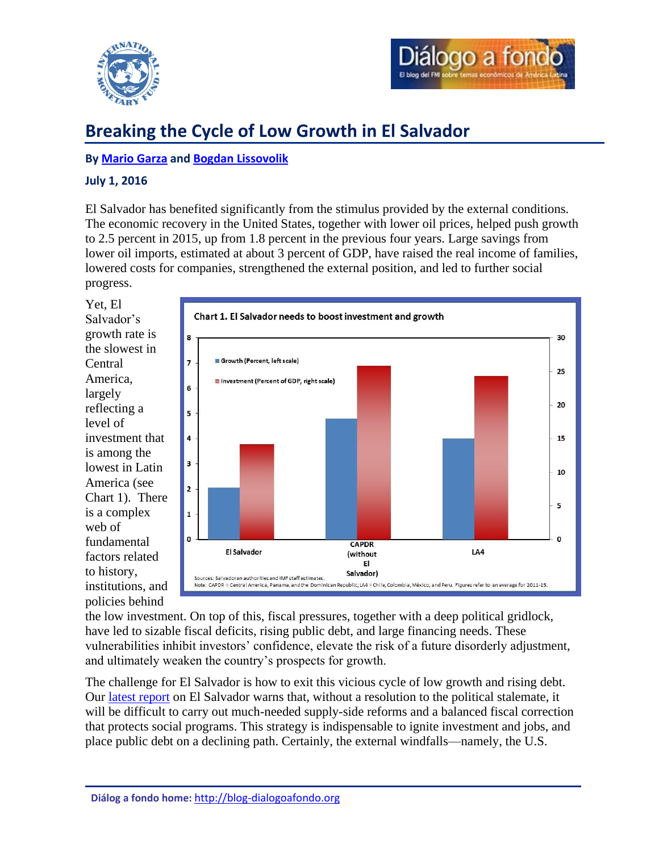



# **Breaking the Cycle of Low Growth in El Salvador**

## **By [Mario Garza](#page-2-0) and [Bogdan Lissovolik](#page-2-1)**

## **July 1, 2016**

El Salvador has benefited significantly from the stimulus provided by the external conditions. The economic recovery in the United States, together with lower oil prices, helped push growth to 2.5 percent in 2015, up from 1.8 percent in the previous four years. Large savings from lower oil imports, estimated at about 3 percent of GDP, have raised the real income of families, lowered costs for companies, strengthened the external position, and led to further social progress.

Yet, El Salvador's growth rate is the slowest in **Central** America, largely reflecting a level of investment that is among the lowest in Latin America (see Chart 1). There is a complex web of fundamental factors related to history, institutions, and policies behind



the low investment. On top of this, fiscal pressures, together with a deep political gridlock, have led to sizable fiscal deficits, rising public debt, and large financing needs. These vulnerabilities inhibit investors' confidence, elevate the risk of a future disorderly adjustment, and ultimately weaken the country's prospects for growth.

The challenge for El Salvador is how to exit this vicious cycle of low growth and rising debt. Our [latest report](http://www.imf.org/external/pubs/ft/scr/2016/cr16208.pdf) on El Salvador warns that, without a resolution to the political stalemate, it will be difficult to carry out much-needed supply-side reforms and a balanced fiscal correction that protects social programs. This strategy is indispensable to ignite investment and jobs, and place public debt on a declining path. Certainly, the external windfalls—namely, the U.S.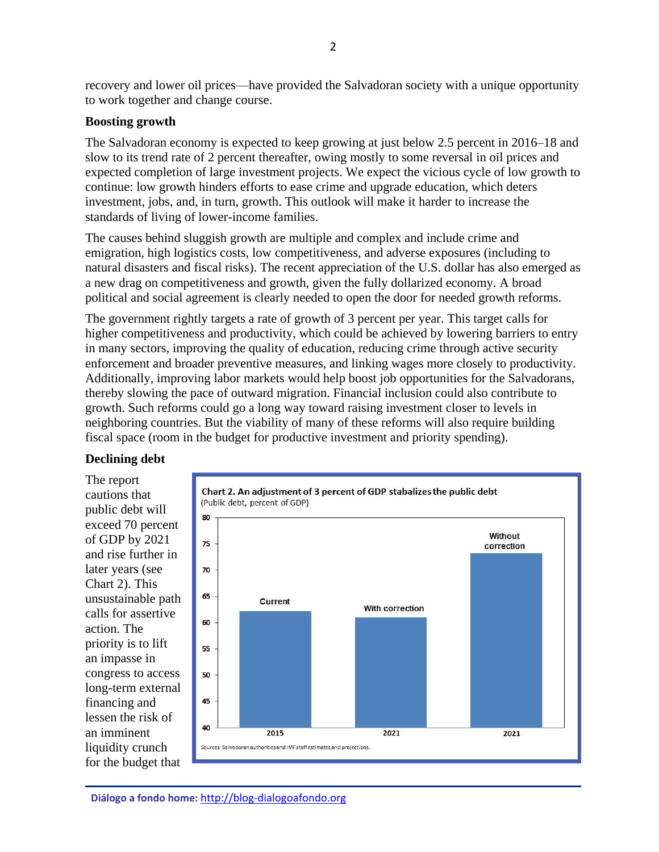recovery and lower oil prices—have provided the Salvadoran society with a unique opportunity to work together and change course.

## **Boosting growth**

The Salvadoran economy is expected to keep growing at just below 2.5 percent in 2016–18 and slow to its trend rate of 2 percent thereafter, owing mostly to some reversal in oil prices and expected completion of large investment projects. We expect the vicious cycle of low growth to continue: low growth hinders efforts to ease crime and upgrade education, which deters investment, jobs, and, in turn, growth. This outlook will make it harder to increase the standards of living of lower-income families.

The causes behind sluggish growth are multiple and complex and include crime and emigration, high logistics costs, low competitiveness, and adverse exposures (including to natural disasters and fiscal risks). The recent appreciation of the U.S. dollar has also emerged as a new drag on competitiveness and growth, given the fully dollarized economy. A broad political and social agreement is clearly needed to open the door for needed growth reforms.

The government rightly targets a rate of growth of 3 percent per year. This target calls for higher competitiveness and productivity, which could be achieved by lowering barriers to entry in many sectors, improving the quality of education, reducing crime through active security enforcement and broader preventive measures, and linking wages more closely to productivity. Additionally, improving labor markets would help boost job opportunities for the Salvadorans, thereby slowing the pace of outward migration. Financial inclusion could also contribute to growth. Such reforms could go a long way toward raising investment closer to levels in neighboring countries. But the viability of many of these reforms will also require building fiscal space (room in the budget for productive investment and priority spending).

### **Declining debt**

The report cautions that public debt will exceed 70 percent of GDP by 2021 and rise further in later years (see Chart 2). This unsustainable path calls for assertive action. The priority is to lift an impasse in congress to access long-term external financing and lessen the risk of an imminent liquidity crunch for the budget that

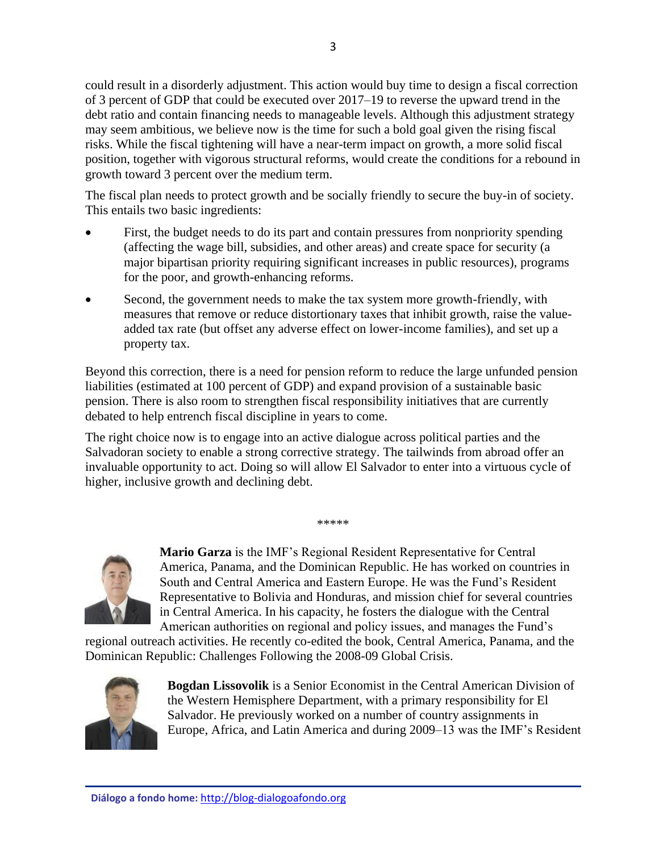could result in a disorderly adjustment. This action would buy time to design a fiscal correction of 3 percent of GDP that could be executed over 2017–19 to reverse the upward trend in the debt ratio and contain financing needs to manageable levels. Although this adjustment strategy may seem ambitious, we believe now is the time for such a bold goal given the rising fiscal risks. While the fiscal tightening will have a near-term impact on growth, a more solid fiscal position, together with vigorous structural reforms, would create the conditions for a rebound in growth toward 3 percent over the medium term.

The fiscal plan needs to protect growth and be socially friendly to secure the buy-in of society. This entails two basic ingredients:

- First, the budget needs to do its part and contain pressures from nonpriority spending (affecting the wage bill, subsidies, and other areas) and create space for security (a major bipartisan priority requiring significant increases in public resources), programs for the poor, and growth-enhancing reforms.
- Second, the government needs to make the tax system more growth-friendly, with measures that remove or reduce distortionary taxes that inhibit growth, raise the valueadded tax rate (but offset any adverse effect on lower-income families), and set up a property tax.

Beyond this correction, there is a need for pension reform to reduce the large unfunded pension liabilities (estimated at 100 percent of GDP) and expand provision of a sustainable basic pension. There is also room to strengthen fiscal responsibility initiatives that are currently debated to help entrench fiscal discipline in years to come.

The right choice now is to engage into an active dialogue across political parties and the Salvadoran society to enable a strong corrective strategy. The tailwinds from abroad offer an invaluable opportunity to act. Doing so will allow El Salvador to enter into a virtuous cycle of higher, inclusive growth and declining debt.

\*\*\*\*\*

<span id="page-2-0"></span>**Mario Garza** is the IMF's Regional Resident Representative for Central America, Panama, and the Dominican Republic. He has worked on countries in South and Central America and Eastern Europe. He was the Fund's Resident Representative to Bolivia and Honduras, and mission chief for several countries in Central America. In his capacity, he fosters the dialogue with the Central American authorities on regional and policy issues, and manages the Fund's

regional outreach activities. He recently co-edited the book, Central America, Panama, and the Dominican Republic: Challenges Following the 2008-09 Global Crisis.



<span id="page-2-1"></span>**Bogdan Lissovolik** is a Senior Economist in the Central American Division of the Western Hemisphere Department, with a primary responsibility for El Salvador. He previously worked on a number of country assignments in Europe, Africa, and Latin America and during 2009–13 was the IMF's Resident